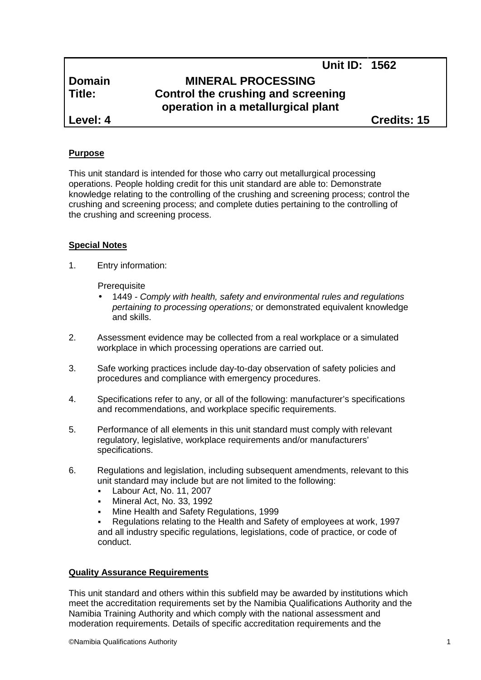# **Domain MINERAL PROCESSING Title: Control the crushing and screening operation in a metallurgical plant**

**Level: 4 Credits: 15**

**Unit ID: 1562**

## **Purpose**

This unit standard is intended for those who carry out metallurgical processing operations. People holding credit for this unit standard are able to: Demonstrate knowledge relating to the controlling of the crushing and screening process; control the crushing and screening process; and complete duties pertaining to the controlling of the crushing and screening process.

#### **Special Notes**

1. Entry information:

**Prerequisite** 

- 1449 *- Comply with health, safety and environmental rules and regulations pertaining to processing operations;* or demonstrated equivalent knowledge and skills.
- 2. Assessment evidence may be collected from a real workplace or a simulated workplace in which processing operations are carried out.
- 3. Safe working practices include day-to-day observation of safety policies and procedures and compliance with emergency procedures.
- 4. Specifications refer to any, or all of the following: manufacturer's specifications and recommendations, and workplace specific requirements.
- 5. Performance of all elements in this unit standard must comply with relevant regulatory, legislative, workplace requirements and/or manufacturers' specifications.
- 6. Regulations and legislation, including subsequent amendments, relevant to this unit standard may include but are not limited to the following:
	- Labour Act, No. 11, 2007
	- Mineral Act, No. 33, 1992
	- Mine Health and Safety Regulations, 1999
	- Regulations relating to the Health and Safety of employees at work, 1997 and all industry specific regulations, legislations, code of practice, or code of conduct.

#### **Quality Assurance Requirements**

This unit standard and others within this subfield may be awarded by institutions which meet the accreditation requirements set by the Namibia Qualifications Authority and the Namibia Training Authority and which comply with the national assessment and moderation requirements. Details of specific accreditation requirements and the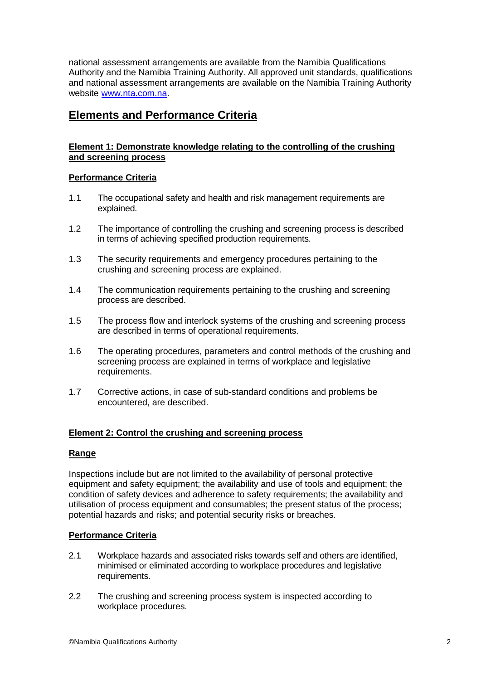national assessment arrangements are available from the Namibia Qualifications Authority and the Namibia Training Authority. All approved unit standards, qualifications and national assessment arrangements are available on the Namibia Training Authority website www.nta.com.na.

# **Elements and Performance Criteria**

## **Element 1: Demonstrate knowledge relating to the controlling of the crushing and screening process**

## **Performance Criteria**

- 1.1 The occupational safety and health and risk management requirements are explained.
- 1.2 The importance of controlling the crushing and screening process is described in terms of achieving specified production requirements.
- 1.3 The security requirements and emergency procedures pertaining to the crushing and screening process are explained.
- 1.4 The communication requirements pertaining to the crushing and screening process are described.
- 1.5 The process flow and interlock systems of the crushing and screening process are described in terms of operational requirements.
- 1.6 The operating procedures, parameters and control methods of the crushing and screening process are explained in terms of workplace and legislative requirements.
- 1.7 Corrective actions, in case of sub-standard conditions and problems be encountered, are described.

#### **Element 2: Control the crushing and screening process**

#### **Range**

Inspections include but are not limited to the availability of personal protective equipment and safety equipment; the availability and use of tools and equipment; the condition of safety devices and adherence to safety requirements; the availability and utilisation of process equipment and consumables; the present status of the process; potential hazards and risks; and potential security risks or breaches.

#### **Performance Criteria**

- 2.1 Workplace hazards and associated risks towards self and others are identified, minimised or eliminated according to workplace procedures and legislative requirements.
- 2.2 The crushing and screening process system is inspected according to workplace procedures.